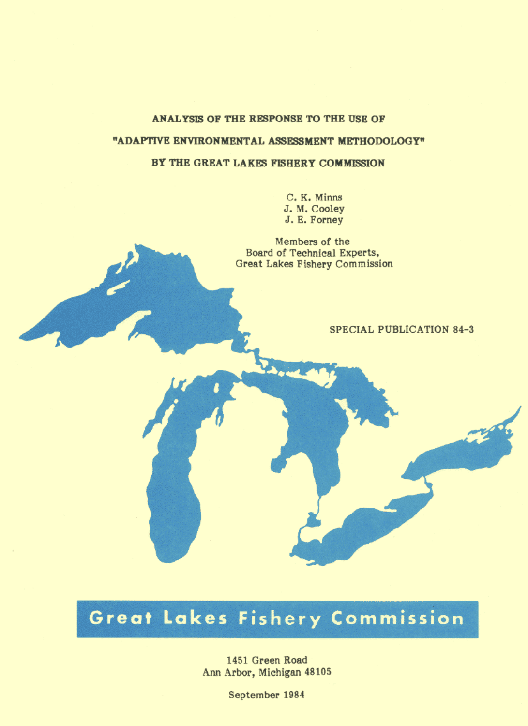# ANALYSIS OF THE RESPONSE TO THE USE OF

# "ADAPTIVE ENVIRONMENTAL ASSESSMENT METHODOLOGY"

### BY THE GREAT LAKES FISHERY COMMISSION

C. K. Minns J. M. Cooley J. E. Forney

Members of the Board of Technical Experts, Great Lakes Fishery Commission

# **SPECIAL PUBLICATION 84-3**

# Great Lakes Fishery Commission

1451 Green Road Ann Arbor, Michigan 48105

September 1984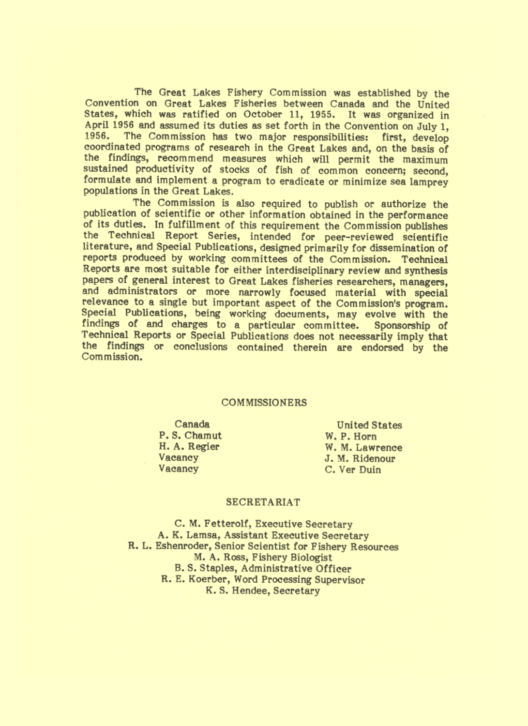The Great Lakes Fishery Commission was established by the Convention on Great Lakes Fisheries between Canada and the United States, which was ratified on October 11, 1955. It was organized in April 1956 and assumed its duties as set forth in the Convention on July 1. The Commission has two major responsibilities: first, develop 1956. coordinated programs of research in the Great Lakes and, on the basis of the findings, recommend measures which will permit the maximum<br>sustained productivity of stocks of fish of common concern; second, formulate and implement a program to eradicate or minimize sea lamprey populations in the Great Lakes.

The Commission is also required to publish or authorize the publication of scientific or other information obtained in the performance of its duties. In fulfillment of this requirement the Commission publishes the Technical Report Series, intended for peer-reviewed scientific literature, and Special Publications, designed primarily for dissemination of reports produced by working committees of the Commission. Technical Reports are most suitable for either interdisciplinary review and synthesis papers of general interest to Great Lakes fisheries researchers, managers, and administrators or more narrowly focused material with special relevance to a single but important aspect of the Commission's program. Special Publications, being working documents, may evolve with the findings of and charges to a particular committee. Sponsorship of Technical Reports or Special Publications does not necessarily imply that the findings or conclusions contained therein are endorsed by the Commission.

# **COMMISSIONERS**

Canada P.S. Chamut H. A. Regier Vacancy Vacancy

**United States** W. P. Horn W. M. Lawrence J. M. Ridenour C. Ver Duin

#### **SECRETARIAT**

C. M. Fetterolf, Executive Secretary A. K. Lamsa, Assistant Executive Secretary R. L. Eshenroder, Senior Scientist for Fishery Resources M. A. Ross, Fishery Biologist B. S. Staples, Administrative Officer R. E. Koerber, Word Processing Supervisor K.S. Hendee, Secretary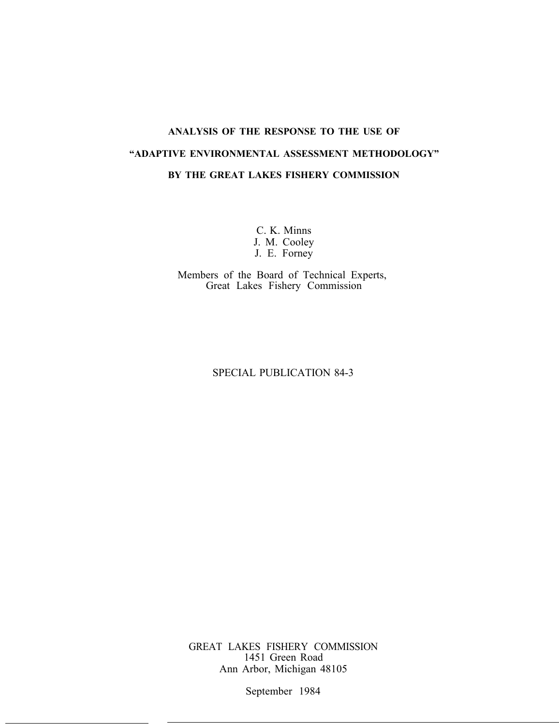# **ANALYSIS OF THE RESPONSE TO THE USE OF "ADAPTIVE ENVIRONMENTAL ASSESSMENT METHODOLOGY" BY THE GREAT LAKES FISHERY COMMISSION**

C. K. Minns J. M. Cooley J. E. Forney

Members of the Board of Technical Experts, Great Lakes Fishery Commission

# SPECIAL PUBLICATION 84-3

GREAT LAKES FISHERY COMMISSION 1451 Green Road Ann Arbor, Michigan 48105

September 1984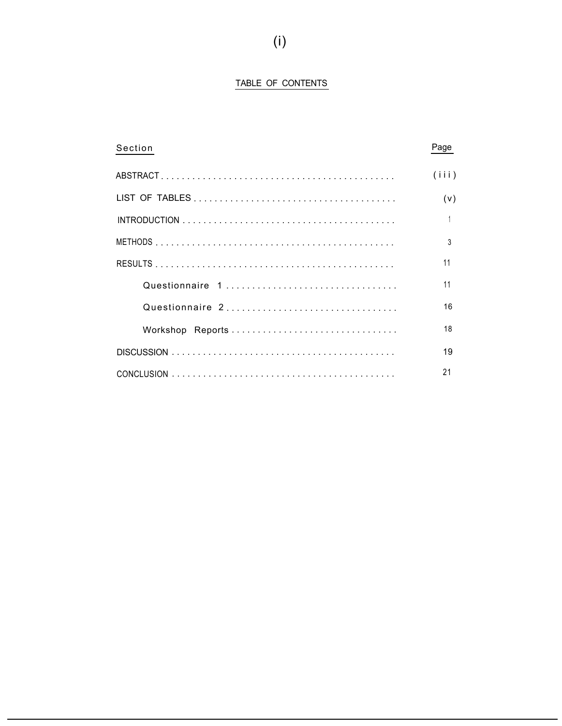# TABLE OF CONTENTS

| Section         | Page  |
|-----------------|-------|
|                 | (iii) |
|                 | (v)   |
|                 |       |
|                 | 3     |
|                 | 11    |
| Questionnaire 1 | 11    |
| Questionnaire 2 | 16    |
|                 | 18    |
|                 | 19    |
|                 | 21    |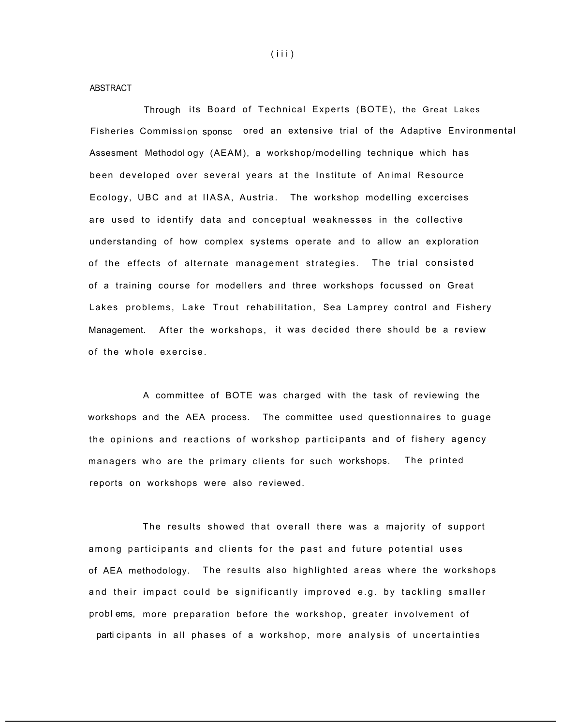ABSTRACT

Through its Board of Technical Experts (BOTE), the Great Lakes Fisheries Commissi on sponsc ored an extensive trial of the Adaptive Environmental Assesment Methodol ogy (AEAM), a workshop/modelling technique which has been developed over several years at the Institute of Animal Resource Ecology, UBC and at IIASA, Austria. The workshop modelling excercises are used to identify data and conceptual weaknesses in the collective understanding of how complex systems operate and to allow an exploration of the effects of alternate management strategies. The trial consisted of a training course for modellers and three workshops focussed on Great Lakes problems, Lake Trout rehabilitation, Sea Lamprey control and Fishery Management. After the workshops, it was decided there should be a review of the whole exercise.

A committee of BOTE was charged with the task of reviewing the workshops and the AEA process. The committee used questionnaires to guage the opinions and reactions of workshop partici pants and of fishery agency managers who are the primary clients for such workshops. The printed reports on workshops were also reviewed.

The results showed that overall there was a majority of support among participants and clients for the past and future potential uses of AEA methodology. The results also highlighted areas where the workshops and their impact could be significantly improved e.g. by tackling smaller probl ems, more preparation before the workshop, greater involvement of parti cipants in all phases of a workshop, more analysis of uncertainties

(iii)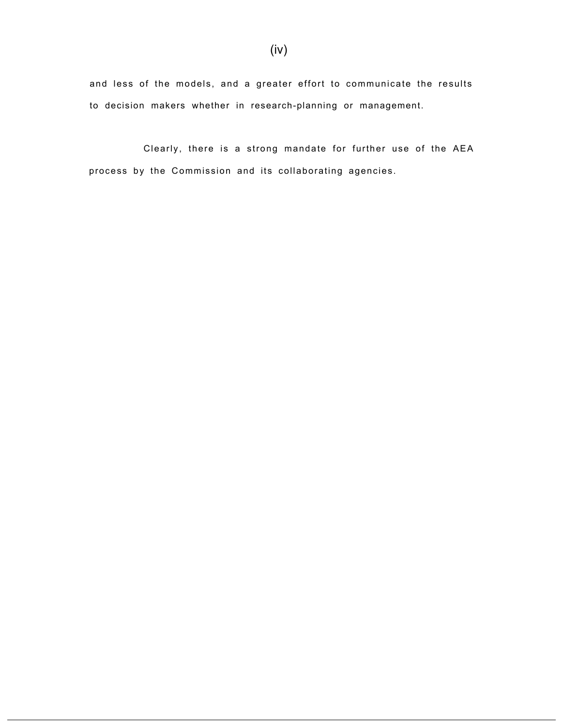and less of the models, and a greater effort to communicate the results to decision makers whether in research-planning or management.

Clearly, there is a strong mandate for further use of the AEA process by the Commission and its collaborating agencies.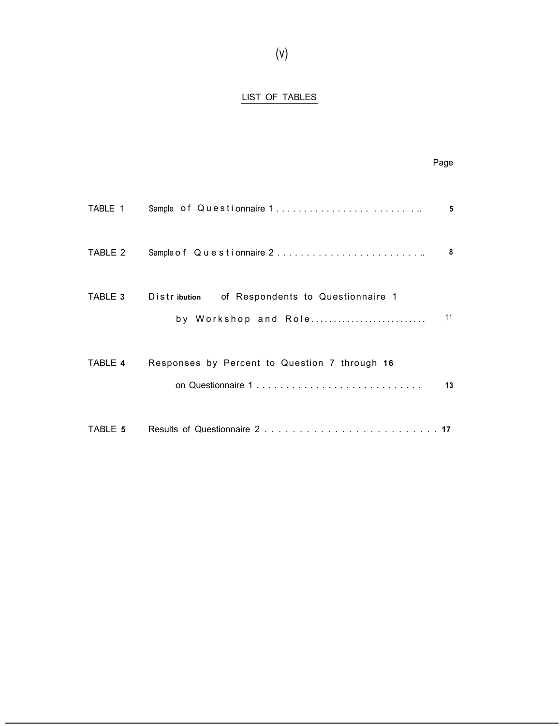# LIST OF TABLES

|         |                                                                                       | Page                    |
|---------|---------------------------------------------------------------------------------------|-------------------------|
| TABLE 1 |                                                                                       | 5                       |
| TABLE 2 | Sample of Questionnaire 2                                                             | $\overline{\mathbf{8}}$ |
|         | <b>TABLE 3</b> Distribution of Respondents to Questionnaire 1<br>by Workshop and Role | 11                      |
| TABLE 4 | Responses by Percent to Question 7 through 16<br>on Questionnaire 1                   | 13                      |
| TABLE 5 |                                                                                       |                         |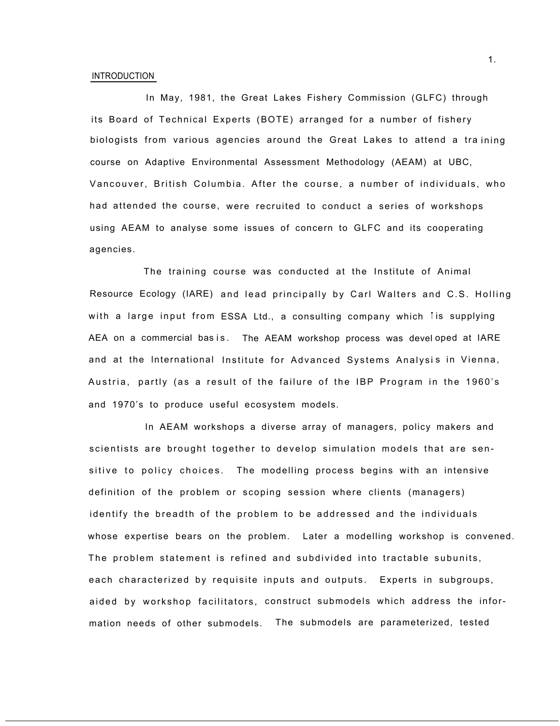#### INTRODUCTION

In May, 1981, the Great Lakes Fishery Commission (GLFC) through its Board of Technical Experts (BOTE) arranged for a number of fishery biologists from various agencies around the Great Lakes to attend a tra ining course on Adaptive Environmental Assessment Methodology (AEAM) at UBC, Vancouver, British Columbia. After the course, a number of individuals, who had attended the course, were recruited to conduct a series of workshops using AEAM to analyse some issues of concern to GLFC and its cooperating agencies.

The training course was conducted at the Institute of Animal with a large input from ESSA Ltd., a consulting company which iis supplying Resource Ecology (IARE) and lead principally by Carl Walters and C.S. Holling AEA on a commercial basis. The AEAM workshop process was developed at IARE and at the International Institute for Advanced Systems Analysis in Vienna, Austria, partly (as a result of the failure of the IBP Program in the 1960's and 1970's to produce useful ecosystem models.

In AEAM workshops a diverse array of managers, policy makers and scientists are brought together to develop simulation models that are sensitive to policy choices. The modelling process begins with an intensive definition of the problem or scoping session where clients (managers) identify the breadth of the problem to be addressed and the individuals whose expertise bears on the problem. Later a modelling workshop is convened. The problem statement is refined and subdivided into tractable subunits, each characterized by requisite inputs and outputs. Experts in subgroups, aided by workshop facilitators, construct submodels which address the information needs of other submodels. The submodels are parameterized, tested

1.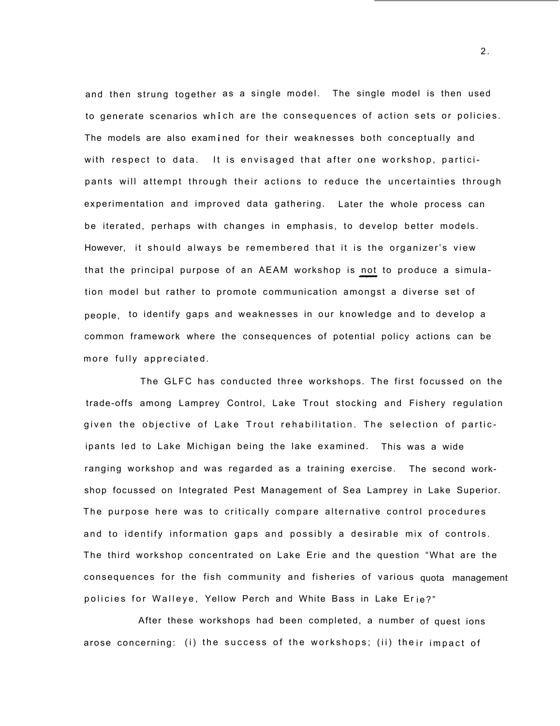and then strung together as a single model. The single model is then used to generate scenarios which are the consequences of action sets or policies. The models are also examined for their weaknesses both conceptually and with respect to data. It is envisaged that after one workshop, participants will attempt through their actions to reduce the uncertainties through experimentation and improved data gathering. Later the whole process can be iterated, perhaps with changes in emphasis, to develop better models. However, it should always be remembered that it is the organizer's view that the principal purpose of an AEAM workshop is not to produce a simulation model but rather to promote communication amongst a diverse set of people, to identify gaps and weaknesses in our knowledge and to develop a common framework where the consequences of potential policy actions can be more fully appreciated.

The GLFC has conducted three workshops. The first focussed on the trade-offs among Lamprey Control, Lake Trout stocking and Fishery regulation given the objective of Lake Trout rehabilitation. The selection of participants led to Lake Michigan being the lake examined. This was a wide ranging workshop and was regarded as a training exercise. The second workshop focussed on Integrated Pest Management of Sea Lamprey in Lake Superior. The purpose here was to critically compare alternative control procedures and to identify information gaps and possibly a desirable mix of controls. The third workshop concentrated on Lake Erie and the question "What are the consequences for the fish community and fisheries of various quota management policies for Walleye, Yellow Perch and White Bass in Lake Er ie?"

After these workshops had been completed, a number of quest ions arose concerning: (i) the success of the workshops; (ii) the ir impact of

2.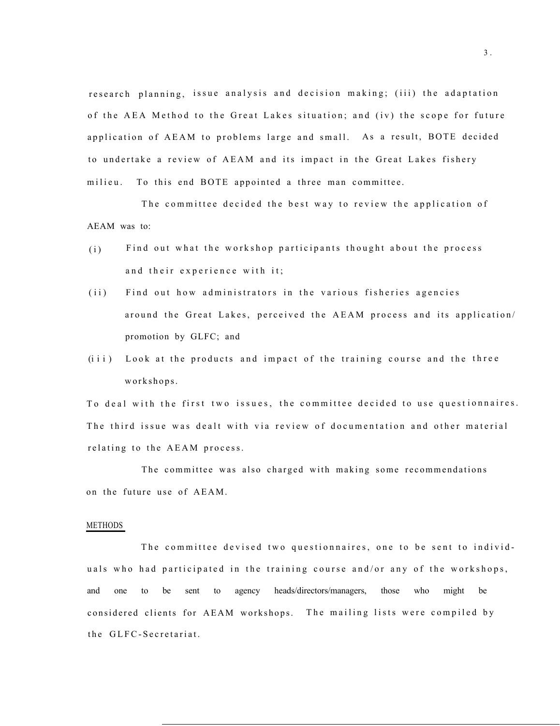research planning, issue analysis and decision making; (iii) the adaptation of the AEA Method to the Great Lakes situation; and (iv) the scope for future application of AEAM to problems large and small. As a result, BOTE decided to undertake a review of AEAM and its impact in the Great Lakes fishery milieu. To this end BOTE appointed a three man committee.

The committee decided the best way to review the application of AEAM was to:

- (i) Find out what the workshop participants thought about the process and their experience with it;
- (ii) Find out how administrators in the various fisheries agencies around the Great Lakes, perceived the AEAM process and its application/ promotion by GLFC; and
- (iii) Look at the products and impact of the training course and the three workshops.

To deal with the first two issues, the committee decided to use questionnaires. The third issue was dealt with via review of documentation and other material relating to the AEAM process.

The committee was also charged with making some recommendations on the future use of AEAM.

#### METHODS

The committee devised two questionnaires, one to be sent to individuals who had participated in the training course and/or any of the workshops, and one to be sent to agency heads/directors/managers, those who might be considered clients for AEAM workshops. The mailing lists were compiled by the GLFC-Secretariat.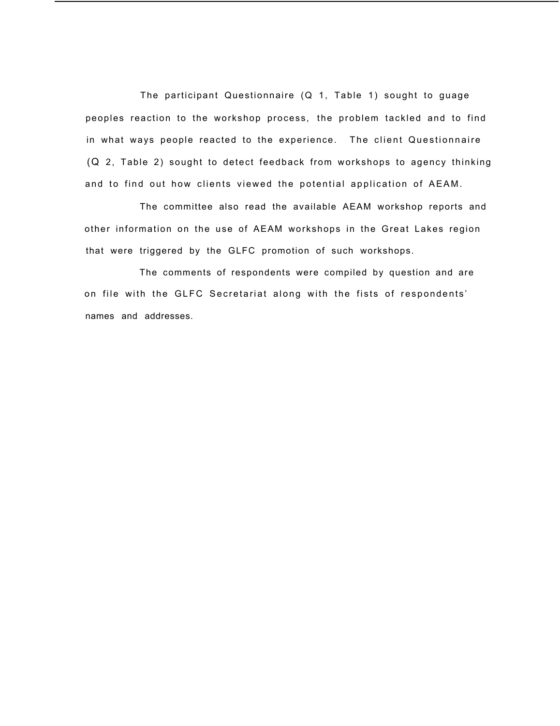The participant Questionnaire (Q 1, Table 1) sought to guage peoples reaction to the workshop process, the problem tackled and to find in what ways people reacted to the experience. The client Questionnaire (Q 2, Table 2) sought to detect feedback from workshops to agency thinking and to find out how clients viewed the potential application of AEAM.

The committee also read the available AEAM workshop reports and other information on the use of AEAM workshops in the Great Lakes region that were triggered by the GLFC promotion of such workshops.

The comments of respondents were compiled by question and are on file with the GLFC Secretariat along with the fists of respondents' names and addresses.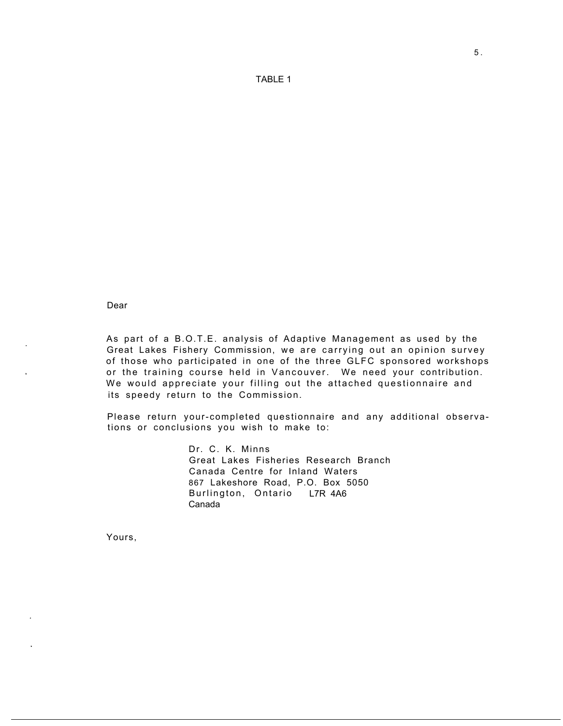TABLE 1

Dear

As part of a B.O.T.E. analysis of Adaptive Management as used by the Great Lakes Fishery Commission, we are carrying out an opinion survey of those who participated in one of the three GLFC sponsored workshops or the training course held in Vancouver. We need your contribution. We would appreciate your filling out the attached questionnaire and its speedy return to the Commission.

Please return your-completed questionnaire and any additional observations or conclusions you wish to make to:

> Dr. C. K. Minns Great Lakes Fisheries Research Branch Canada Centre for Inland Waters 867 Lakeshore Road, P.O. Box 5050 Burlington, Ontario L7R 4A6 Canada

Yours,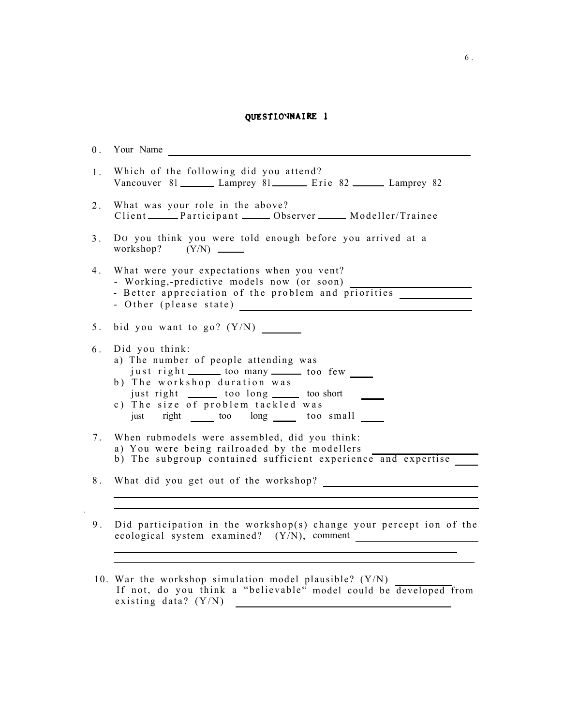# QUESTIONNAIRE 1

|                | Your Name                                                                                                                                                                                                                                                                    |
|----------------|------------------------------------------------------------------------------------------------------------------------------------------------------------------------------------------------------------------------------------------------------------------------------|
| 1.             | Which of the following did you attend?<br>Vancouver 81 Lamprey 81 Erie 82 Lamprey 82                                                                                                                                                                                         |
| 2.             | What was your role in the above?<br>Client Participant Chierren Modeller/Trainee                                                                                                                                                                                             |
| 3 <sub>1</sub> | Do you think you were told enough before you arrived at a                                                                                                                                                                                                                    |
| 4.             | What were your expectations when you vent?<br>- Working,-predictive models now (or soon)<br>- Better appreciation of the problem and priorities                                                                                                                              |
| 5.             | bid you want to go? $(Y/N)$                                                                                                                                                                                                                                                  |
| 6.             | Did you think:<br>a) The number of people attending was<br>just right _______ too many _______ too few<br>b) The workshop duration was<br>just right ________ too long ______ too short<br>c) The size of problem tackled was<br>just right ______ too long ______ too small |
| $7_{\cdot}$    | When rubmodels were assembled, did you think:<br>a) You were being railroaded by the modellers<br>b) The subgroup contained sufficient experience and expertise                                                                                                              |
| 8 <sub>1</sub> |                                                                                                                                                                                                                                                                              |
| 9 <sub>1</sub> | Did participation in the workshop(s) change your percept ion of the                                                                                                                                                                                                          |

existing data? (Y/N)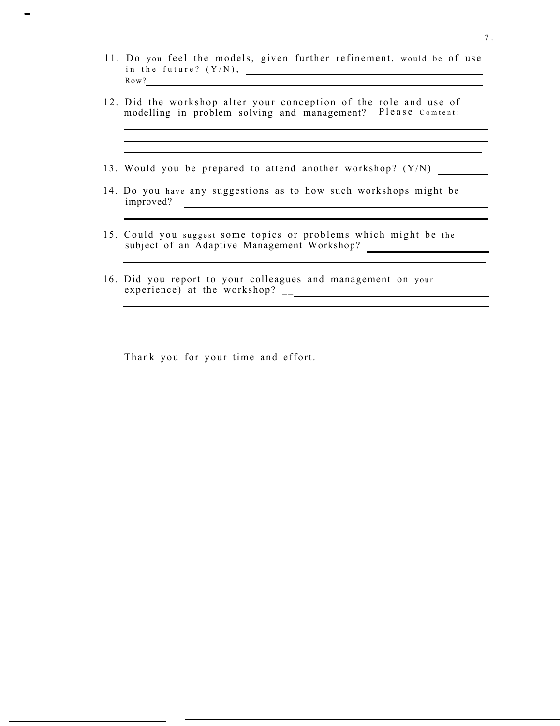11. Do you feel the models, given further refinement, would be of use in the future? (Y/N), Row?

<u> 1989 - Johann Stoff, amerikansk politiker (\* 1908)</u> <u> 1989 - Johann Stoff, amerikansk politiker (\* 1908)</u>

- 12. Did the workshop alter your conception of the role and use of modelling in problem solving and management? Please Comtent:
- 13. Would you be prepared to attend another workshop? (Y/N)
- 14. Do you have any suggestions as to how such workshops might be improved?
- 15. Could you suggest some topics or problems which might be the subject of an Adaptive Management Workshop?
- 16. Did you report to your colleagues and management on your experience) at the workshop? \_\_

Thank you for your time and effort.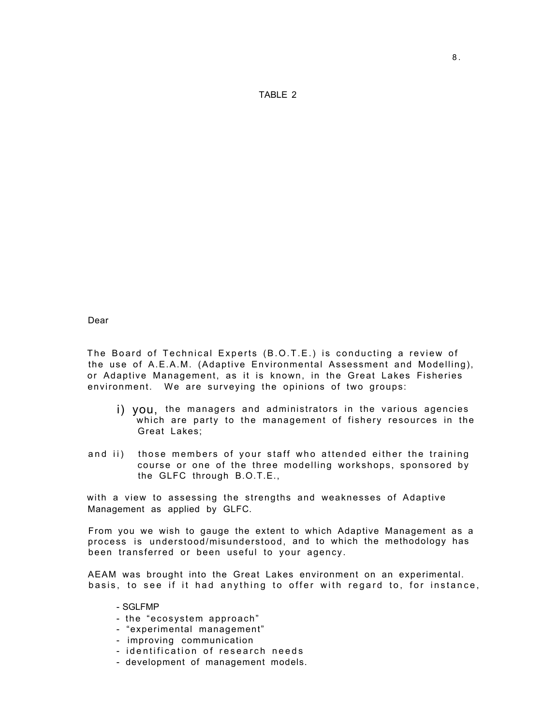TABLE 2

Dear

The Board of Technical Experts (B.O.T.E.) is conducting a review of the use of A.E.A.M. (Adaptive Environmental Assessment and Modelling), or Adaptive Management, as it is known, in the Great Lakes Fisheries environment. We are surveying the opinions of two groups:

- i) you, the managers and administrators in the various agencies which are party to the management of fishery resources in the Great Lakes;
- and ii) those members of your staff who attended either the training course or one of the three modelling workshops, sponsored by the GLFC through B.O.T.E.,

with a view to assessing the strengths and weaknesses of Adaptive Management as applied by GLFC.

From you we wish to gauge the extent to which Adaptive Management as a process is understood/misunderstood, and to which the methodology has been transferred or been useful to your agency.

AEAM was brought into the Great Lakes environment on an experimental. basis, to see if it had anything to offer with regard to, for instance,

- SGLFMP
- the "ecosystem approach"
- "experimental management"
- improving communication
- identification of research needs
- development of management models.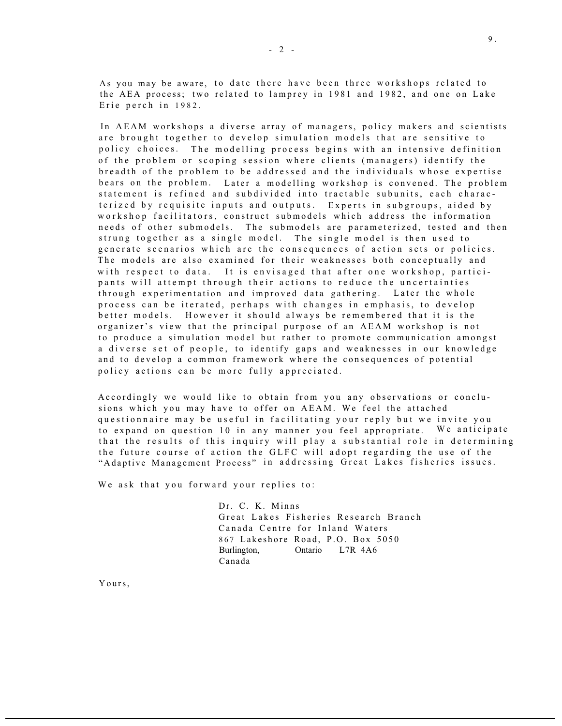As you may be aware, to date there have been three workshops related to the AEA process; two related to lamprey in 1981 and 1982, and one on Lake Erie perch in 1982.

In AEAM workshops a diverse array of managers, policy makers and scientists are brought together to develop simulation models that are sensitive to policy choices. The modelling process begins with an intensive definition of the problem or scoping session where clients (managers) identify the breadth of the problem to be addressed and the individuals whose expertise bears on the problem. Later a modelling workshop is convened. The problem statement is refined and subdivided into tractable subunits, each characterized by requisite inputs and outputs. Experts in subgroups, aided by workshop facilitators, construct submodels which address the information needs of other submodels. The submodels are parameterized, tested and then strung together as a single model. The single model is then used to generate scenarios which are the consequences of action sets or policies. The models are also examined for their weaknesses both conceptually and with respect to data. It is envisaged that after one workshop, participants will attempt through their actions to reduce the uncertainties through experimentation and improved data gathering. Later the whole process can be iterated, perhaps with changes in emphasis, to develop better models. However it should always be remembered that it is the organizer's view that the principal purpose of an AEAM workshop is not to produce a simulation model but rather to promote communication amongst a diverse set of people, to identify gaps and weaknesses in our knowledge and to develop a common framework where the consequences of potential policy actions can be more fully appreciated.

Accordingly we would like to obtain from you any observations or conclusions which you may have to offer on AEAM. We feel the attached questionnaire may be useful in facilitating your reply but we invite you to expand on question 10 in any manner you feel appropriate. We anticipate that the results of this inquiry will play a substantial role in determining the future course of action the GLFC will adopt regarding the use of the "Adaptive Management Process" in addressing Great Lakes fisheries issues.

We ask that you forward your replies to:

Dr. C. K. Minns Great Lakes Fisheries Research Branch Canada Centre for Inland Waters 867 Lakeshore Road, P.O. Box 5050 Burlington, Ontario L7R 4A6 Canada

Yours,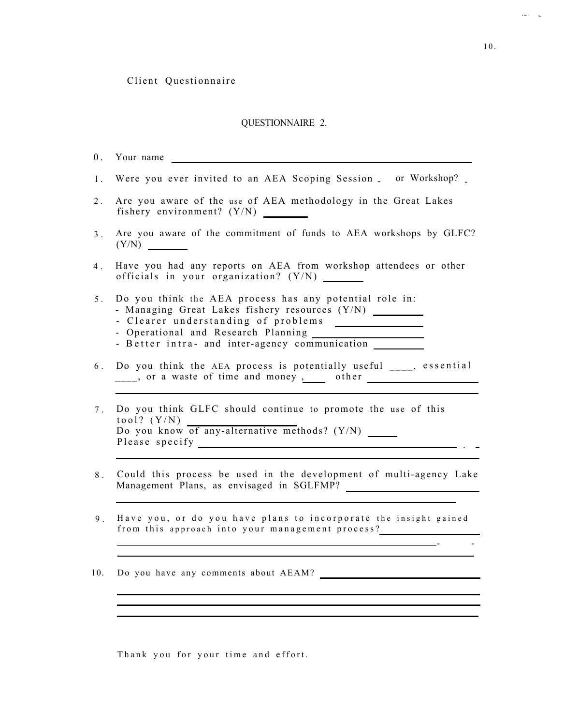#### QUESTIONNAIRE 2.

- 0 . Your name
- 1. Were you ever invited to an AEA Scoping Session \_ or Workshop?
- 2 . Are you aware of the use of AEA methodology in the Great Lakes fishery environment? (Y/N)
- 3 . Are you aware of the commitment of funds to AEA workshops by GLFC?  $(Y/N)$
- 4 . Have you had any reports on AEA from workshop attendees or other officials in your organization? (Y/N)
- 5 . Do you think the AEA process has any potential role in:
	- Managing Great Lakes fishery resources (Y/N)
	- Clearer understanding of problems
	- Operational and Research Planning
	- Better intra- and inter-agency communication
- 6 . Do you think the AEA process is potentially useful \_\_\_\_, essential  $\frac{1}{2}$ , or a waste of time and money , other  $\frac{1}{2}$
- 7 . Do you think GLFC should continue to promote the use of this tool?  $(Y/N)$ Do you know of any-alternative methods? (Y/N) Please specify
- 8 . Could this process be used in the development of multi-agency Lake Management Plans, as envisaged in SGLFMP?
- 9 . Have you, or do you have plans to incorporate the insight gained from this approach into your management process?

- -

10. Do you have any comments about AEAM?

Thank you for your time and effort.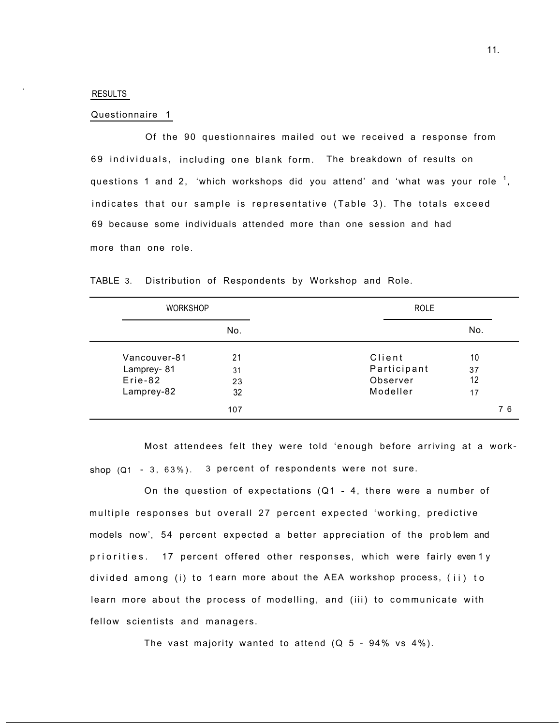#### RESULTS

.

#### Questionnaire 1

Of the 90 questionnaires mailed out we received a response from 69 individuals, including one blank form. The breakdown of results on questions 1 and 2, 'which workshops did you attend' and 'what was your role  $^{\rm 1},$ indicates that our sample is representative (Table 3). The totals exceed 69 because some individuals attended more than one session and had more than one role.

| <b>WORKSHOP</b>                                     |                      | <b>ROLE</b>                                   |                      |    |
|-----------------------------------------------------|----------------------|-----------------------------------------------|----------------------|----|
|                                                     | No.                  |                                               | No.                  |    |
| Vancouver-81<br>Lamprey-81<br>Erie-82<br>Lamprey-82 | 21<br>31<br>23<br>32 | Client<br>Participant<br>Observer<br>Modeller | 10<br>37<br>12<br>17 |    |
|                                                     | 107                  |                                               |                      | 76 |

TABLE 3. Distribution of Respondents by Workshop and Role.

Most attendees felt they were told 'enough before arriving at a workshop  $(Q1 - 3, 63\%)$ . 3 percent of respondents were not sure.

On the question of expectations (Q1 - 4, there were a number of multiple responses but overall 27 percent expected 'working, predictive models now', 54 percent expected a better appreciation of the problem and priorities. 17 percent offered other responses, which were fairly even1y divided among (i) to 1earn more about the AEA workshop process, (ii) to learn more about the process of modelling, and (iii) to communicate with fellow scientists and managers.

The vast majority wanted to attend  $(Q_5 - 94\% \text{ vs } 4\%).$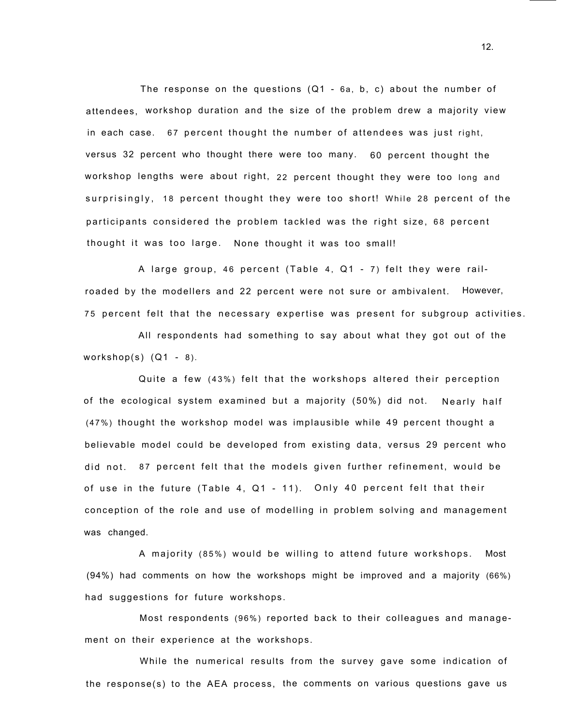The response on the questions (Q1 - 6a, b, c) about the number of attendees, workshop duration and the size of the problem drew a majority view in each case. 67 percent thought the number of attendees was just right, versus 32 percent who thought there were too many. 60 percent thought the workshop lengths were about right, 22 percent thought they were too long and surprisingly, 18 percent thought they were too short! While 28 percent of the participants considered the problem tackled was the right size, 68 percent thought it was too large. None thought it was too small!

A large group, 46 percent (Table 4, Q1 - 7) felt they were railroaded by the modellers and 22 percent were not sure or ambivalent. However, 75 percent felt that the necessary expertise was present for subgroup activities.

All respondents had something to say about what they got out of the workshop $(s)$   $(Q1 - 8)$ .

Quite a few (43%) felt that the workshops altered their perception of the ecological system examined but a majority (50%) did not. Nearly half (47%) thought the workshop model was implausible while 49 percent thought a believable model could be developed from existing data, versus 29 percent who did not. 87 percent felt that the models given further refinement, would be of use in the future (Table 4, Q1 - 11). Only 40 percent felt that their conception of the role and use of modelling in problem solving and management was changed.

A majority (85%) would be willing to attend future workshops. Most (94%) had comments on how the workshops might be improved and a majority (66%) had suggestions for future workshops.

Most respondents (96%) reported back to their colleagues and management on their experience at the workshops.

While the numerical results from the survey gave some indication of the response(s) to the AEA process, the comments on various questions gave us

12.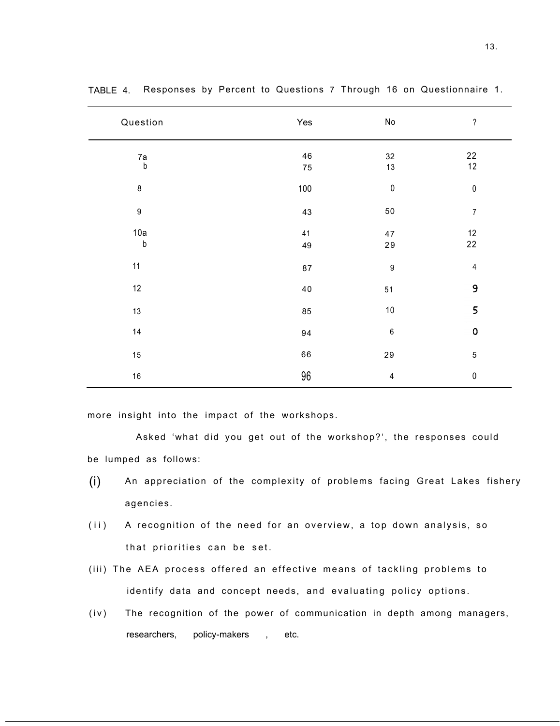| Question                               | Yes      | $\operatorname{\mathsf{No}}$ | $\, ?$             |
|----------------------------------------|----------|------------------------------|--------------------|
| $\begin{array}{c} 7a \\ b \end{array}$ | 46<br>75 | 32<br>13                     | 22<br>$12$         |
| 8                                      | 100      | $\pmb{0}$                    | $\pmb{0}$          |
| $\boldsymbol{9}$                       | 43       | 50                           | $\boldsymbol{7}$   |
| 10a<br>$\mathsf b$                     | 41<br>49 | $47\,$<br>${\bf 29}$         | $12\,$<br>22       |
| 11                                     | 87       | $\boldsymbol{9}$             | $\overline{4}$     |
| 12                                     | $40\,$   | 51                           | 9                  |
| 13                                     | 85       | $10$                         | 5                  |
| 14                                     | 94       | $\,6\,$                      | $\pmb{\mathsf{O}}$ |
| 15                                     | 66       | 29                           | $\mathbf 5$        |
| 16                                     | 96       | $\overline{\mathbf{4}}$      | $\pmb{0}$          |

TABLE 4. Responses by Percent to Questions 7 Through 16 on Questionnaire 1.

more insight into the impact of the workshops.

Asked 'what did you get out of the workshop?', the responses could be lumped as follows:

- (i) An appreciation of the complexity of problems facing Great Lakes fishery agencies.
- (ii) A recognition of the need for an overview, a top down analysis, so that priorities can be set.
- (iii) The AEA process offered an effective means of tackling problems to identify data and concept needs, and evaluating policy options.
- (iv) The recognition of the power of communication in depth among managers, researchers, policy-makers , etc.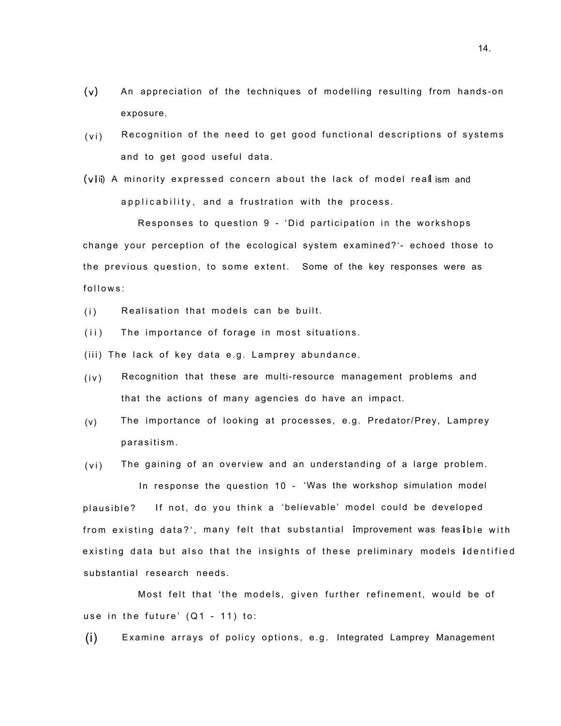- (v) An appreciation of the techniques of modelling resulting from hands-on exposure.
- (vi) Recognition of the need to get good functional descriptions of systems and to get good useful data.
- (v ii) A minority expressed concern about the lack of model real ism and applicability, and a frustration with the process.

Responses to question 9 - 'Did participation in the workshops change your perception of the ecological system examined?'- echoed those to the previous question, to some extent. Some of the key responses were as follows:

- (i) Realisation that models can be built.
- (ii) The importance of forage in most situations.
- (iii) The lack of key data e.g. Lamprey abundance.
- (iv) Recognition that these are multi-resource management problems and that the actions of many agencies do have an impact.
- (v) The importance of looking at processes, e.g. Predator/Prey, Lamprey parasitism.
- (vi) The gaining of an overview and an understanding of a large problem.

In response the question 10 - 'Was the workshop simulation model plausible? If not, do you think a 'believable' model could be developed from existing data?', many felt that substantial improvement was feasible with existing data but also that the insights of these preliminary models **i**dentified substantial research needs.

Most felt that 'the models, given further refinement, would be of use in the future' (Q1 - 11) to:

(i) Examine arrays of policy options, e.g. Integrated Lamprey Management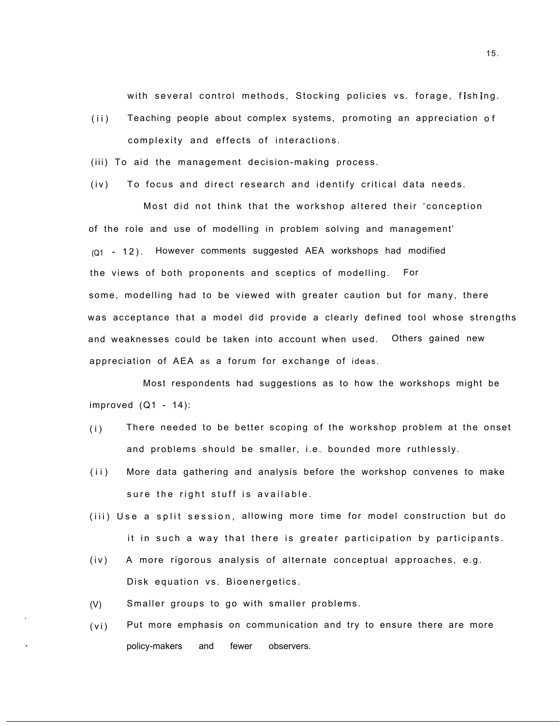with several control methods, Stocking policies vs. forage, fishing.

- (ii) Teaching people about complex systems, promoting an appreciation of complexity and effects of interactions.
- (iii) To aid the management decision-making process.
- (iv) To focus and direct research and identify critical data needs.

Most did not think that the workshop altered their 'conception of the role and use of modelling in problem solving and management'  $(Q_1 - 12)$ . However comments suggested AEA workshops had modified the views of both proponents and sceptics of modelling. For some, modelling had to be viewed with greater caution but for many, there was acceptance that a model did provide a clearly defined tool whose strengths and weaknesses could be taken into account when used. Others gained new appreciation of AEA as a forum for exchange of ideas.

Most respondents had suggestions as to how the workshops might be improved  $(Q1 - 14)$ :

- (i) There needed to be better scoping of the workshop problem at the onset and problems should be smaller, i.e. bounded more ruthlessly.
- (ii) More data gathering and analysis before the workshop convenes to make sure the right stuff is available.
- (iii) Use a split session, allowing more time for model construction but do it in such a way that there is greater participation by participants.
- (iv) A more rigorous analysis of alternate conceptual approaches, e.g. Disk equation vs. Bioenergetics.
- (V) Smaller groups to go with smaller problems.
- (vi) Put more emphasis on communication and try to ensure there are more policy-makers and fewer observers.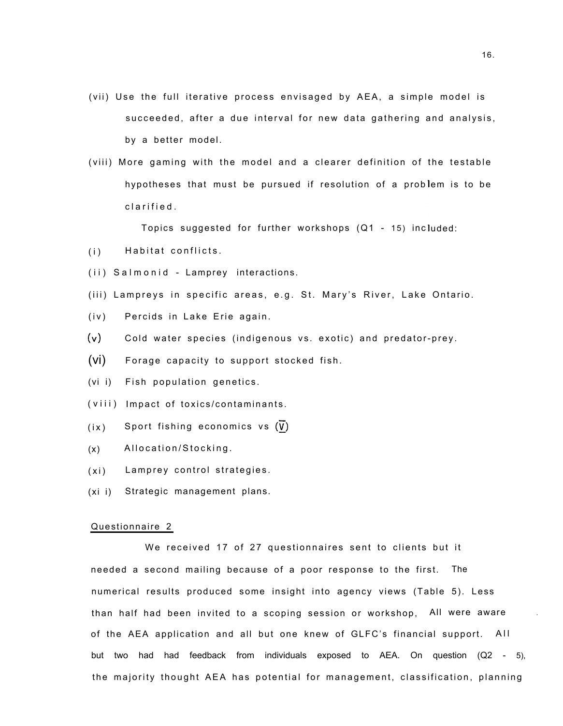- (vii) Use the full iterative process envisaged by AEA, a simple model is succeeded, after a due interval for new data gathering and analysis, by a better model.
- (viii) More gaming with the model and a clearer definition of the testable hypotheses that must be pursued if resolution of a prob lem is to be clarified.

Topics suggested for further workshops (Q1 - 15) inc luded:

- (i) Habitat conflicts.
- (ii) Salmonid Lamprey interactions.
- (iii) Lampreys in specific areas, e.g. St. Mary's River, Lake Ontario.
- (iv) Percids in Lake Erie again.
- $(v)$  Cold water species (indigenous vs. exotic) and predator-prey.

(vi) Forage capacity to support stocked fish.

- (vi i) Fish population genetics.
- (viii) Impact of toxics/contaminants.
- $(ix)$  Sport fishing economics vs  $(V)$
- (x) Allocation/Stocking.
- (xi) Lamprey control strategies.
- (xi i) Strategic management plans.

#### Questionnaire 2

We received 17 of 27 questionnaires sent to clients but it needed a second mailing because of a poor response to the first. The numerical results produced some insight into agency views (Table 5). Less than half had been invited to a scoping session or workshop, All were aware . of the AEA application and all but one knew of GLFC's financial support. All but two had had feedback from individuals exposed to AEA. On question (Q2 - 5), the majority thought AEA has potential for management, classification, planning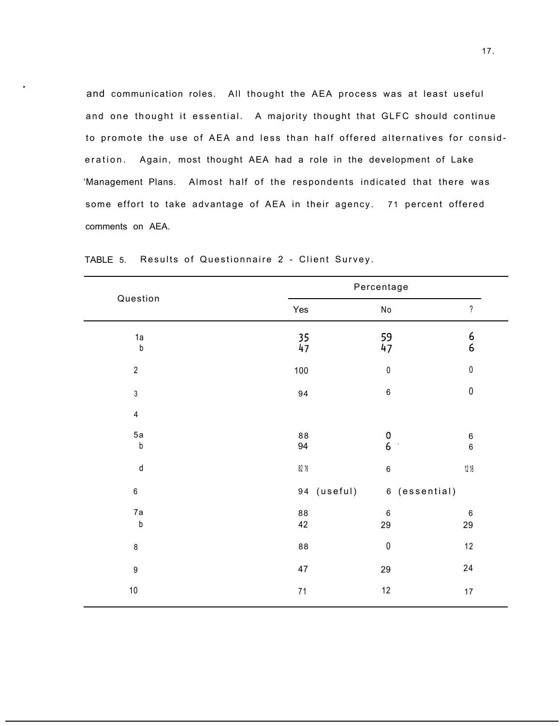and communication roles. All thought the AEA process was at least useful and one thought it essential. A majority thought that GLFC should continue to promote the use of AEA and less than half offered alternatives for consideration. Again, most thought AEA had a role in the development of Lake 'Management Plans. Almost half of the respondents indicated that there was some effort to take advantage of AEA in their agency. 71 percent offered comments on AEA.

| Percentage       |                                       |                                       |                         |
|------------------|---------------------------------------|---------------------------------------|-------------------------|
| Yes              | No                                    | $\overline{\phantom{a}}$              |                         |
| $\frac{35}{47}$  | 59<br>47                              | $\begin{array}{c} 6 \\ 6 \end{array}$ |                         |
| 100              | $\pmb{0}$                             | $\pmb{0}$                             |                         |
| 94               | $\,6\,$                               | $\pmb{0}$                             |                         |
|                  |                                       |                                       |                         |
| 88<br>94         | $\begin{array}{c} 0 \\ 6 \end{array}$ | $\,6\,$<br>$\overline{6}$             |                         |
| $82\,76$         | $\,6\,$                               | $12\,18$                              |                         |
|                  |                                       |                                       |                         |
| ${\bf 88}$<br>42 | $\,6\,$<br>29                         | $\,6$<br>29                           |                         |
| 88               | $\pmb{0}$                             | $12\,$                                |                         |
| $47\,$           | 29                                    | 24                                    |                         |
| 71               | $12\,$                                | $17$                                  |                         |
|                  |                                       | 94 (useful)                           | $\sim$<br>6 (essential) |

TABLE 5. Results of Questionnaire 2 - Client Survey.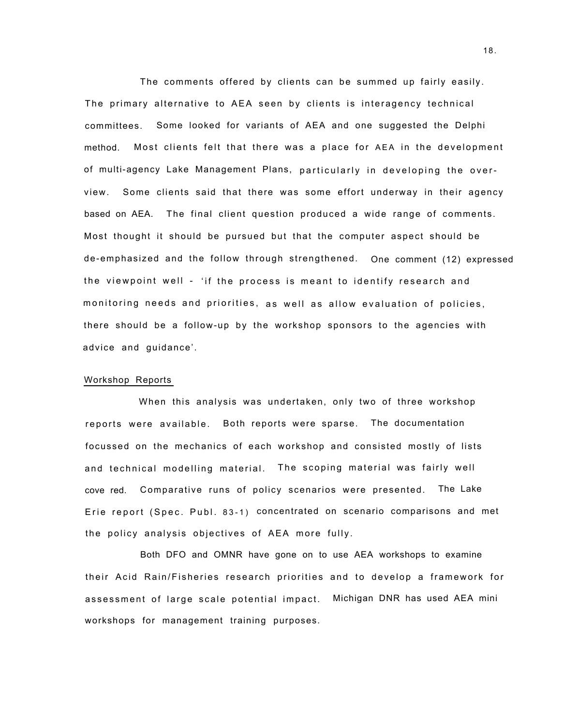The comments offered by clients can be summed up fairly easily. The primary alternative to AEA seen by clients is interagency technical committees. Some looked for variants of AEA and one suggested the Delphi method. Most clients felt that there was a place for AEA in the development of multi-agency Lake Management Plans, particularly in developing the overview. Some clients said that there was some effort underway in their agency based on AEA. The final client question produced a wide range of comments. Most thought it should be pursued but that the computer aspect should be de-emphasized and the follow through strengthened. One comment (12) expressed the viewpoint well - 'if the process is meant to identify research and monitoring needs and priorities, as well as allow evaluation of policies, there should be a follow-up by the workshop sponsors to the agencies with advice and guidance'.

#### Workshop Reports

When this analysis was undertaken, only two of three workshop reports were available. Both reports were sparse. The documentation focussed on the mechanics of each workshop and consisted mostly of lists and technical modelling material. The scoping material was fairly well cove red. Comparative runs of policy scenarios were presented. The Lake Erie report (Spec. Publ. 83-1) concentrated on scenario comparisons and met the policy analysis objectives of AEA more fully.

Both DFO and OMNR have gone on to use AEA workshops to examine their Acid Rain/Fisheries research priorities and to develop a framework for assessment of large scale potential impact. Michigan DNR has used AEA mini workshops for management training purposes.

18.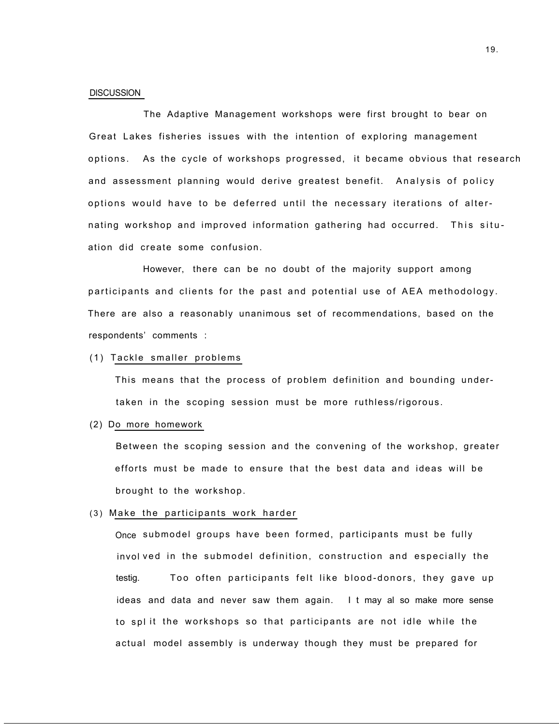#### **DISCUSSION**

The Adaptive Management workshops were first brought to bear on Great Lakes fisheries issues with the intention of exploring management options. As the cycle of workshops progressed, it became obvious that research and assessment planning would derive greatest benefit. Analysis of policy options would have to be deferred until the necessary iterations of alternating workshop and improved information gathering had occurred. This situation did create some confusion.

However, there can be no doubt of the majority support among participants and clients for the past and potential use of AEA methodology. There are also a reasonably unanimous set of recommendations, based on the respondents' comments :

# (1) Tackle smaller problems

This means that the process of problem definition and bounding undertaken in the scoping session must be more ruthless/rigorous.

#### (2) Do more homework

Between the scoping session and the convening of the workshop, greater efforts must be made to ensure that the best data and ideas will be brought to the workshop.

#### (3) Make the participants work harder

Once submodel groups have been formed, participants must be fully invol ved in the submodel definition, construction and especially the testig. Too often participants felt like blood-donors, they gave up ideas and data and never saw them again. I t may al so make more sense to spl it the workshops so that participants are not idle while the actual model assembly is underway though they must be prepared for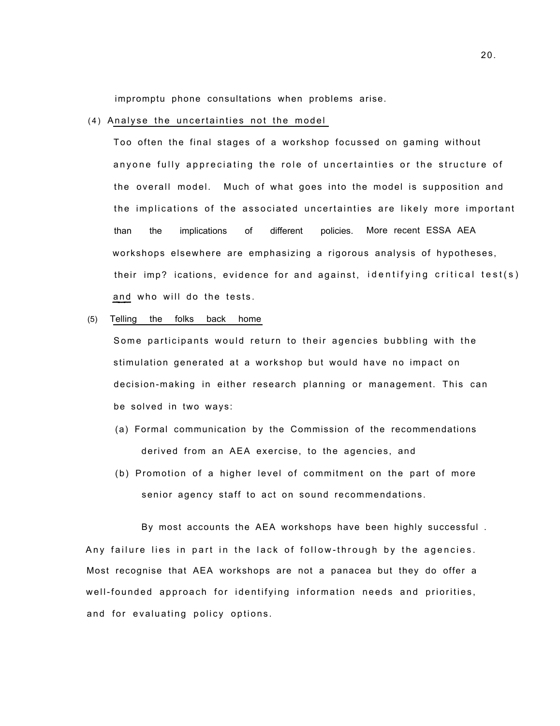impromptu phone consultations when problems arise.

#### (4) Analyse the uncertainties not the model

Too often the final stages of a workshop focussed on gaming without anyone fully appreciating the role of uncertainties or the structure of the overall model. Much of what goes into the model is supposition and the implications of the associated uncertainties are likely more important than the implications of different policies. More recent ESSA AEA workshops elsewhere are emphasizing a rigorous analysis of hypotheses, their imp? ications, evidence for and against, identifying critical test(s) and who will do the tests.

#### (5) Telling the folks back home

Some participants would return to their agencies bubbling with the stimulation generated at a workshop but would have no impact on decision-making in either research planning or management. This can be solved in two ways:

- (a) Formal communication by the Commission of the recommendations derived from an AEA exercise, to the agencies, and
- (b) Promotion of a higher level of commitment on the part of more senior agency staff to act on sound recommendations.

By most accounts the AEA workshops have been highly successful . Any failure lies in part in the lack of follow-through by the agencies. Most recognise that AEA workshops are not a panacea but they do offer a well-founded approach for identifying information needs and priorities, and for evaluating policy options.